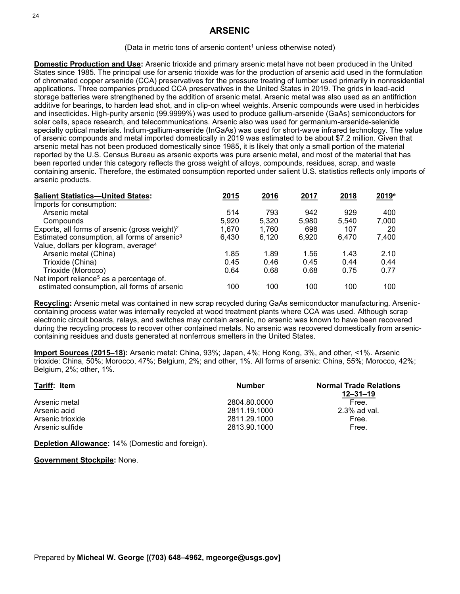# **ARSENIC**

### (Data in metric tons of arsenic content<sup>1</sup> unless otherwise noted)

**Domestic Production and Use:** Arsenic trioxide and primary arsenic metal have not been produced in the United States since 1985. The principal use for arsenic trioxide was for the production of arsenic acid used in the formulation of chromated copper arsenide (CCA) preservatives for the pressure treating of lumber used primarily in nonresidential applications. Three companies produced CCA preservatives in the United States in 2019. The grids in lead-acid storage batteries were strengthened by the addition of arsenic metal. Arsenic metal was also used as an antifriction additive for bearings, to harden lead shot, and in clip-on wheel weights. Arsenic compounds were used in herbicides and insecticides. High-purity arsenic (99.9999%) was used to produce gallium-arsenide (GaAs) semiconductors for solar cells, space research, and telecommunications. Arsenic also was used for germanium-arsenide-selenide specialty optical materials. Indium-gallium-arsenide (InGaAs) was used for short-wave infrared technology. The value of arsenic compounds and metal imported domestically in 2019 was estimated to be about \$7.2 million. Given that arsenic metal has not been produced domestically since 1985, it is likely that only a small portion of the material reported by the U.S. Census Bureau as arsenic exports was pure arsenic metal, and most of the material that has been reported under this category reflects the gross weight of alloys, compounds, residues, scrap, and waste containing arsenic. Therefore, the estimated consumption reported under salient U.S. statistics reflects only imports of arsenic products.

| <b>Salient Statistics-United States:</b>                  | 2015  | 2016  | 2017  | 2018  | $2019^{\circ}$ |
|-----------------------------------------------------------|-------|-------|-------|-------|----------------|
| Imports for consumption:                                  |       |       |       |       |                |
| Arsenic metal                                             | 514   | 793   | 942   | 929   | 400            |
| Compounds                                                 | 5,920 | 5.320 | 5.980 | 5,540 | 7,000          |
| Exports, all forms of arsenic (gross weight) <sup>2</sup> | 1.670 | 1,760 | 698   | 107   | 20             |
| Estimated consumption, all forms of arsenic <sup>3</sup>  | 6.430 | 6.120 | 6,920 | 6.470 | 7,400          |
| Value, dollars per kilogram, average <sup>4</sup>         |       |       |       |       |                |
| Arsenic metal (China)                                     | 1.85  | 1.89  | 1.56  | 1.43  | 2.10           |
| Trioxide (China)                                          | 0.45  | 0.46  | 0.45  | 0.44  | 0.44           |
| Trioxide (Morocco)                                        | 0.64  | 0.68  | 0.68  | 0.75  | 0.77           |
| Net import reliance <sup>5</sup> as a percentage of.      |       |       |       |       |                |
| estimated consumption, all forms of arsenic               | 100   | 100   | 100   | 100   | 100            |

**Recycling:** Arsenic metal was contained in new scrap recycled during GaAs semiconductor manufacturing. Arseniccontaining process water was internally recycled at wood treatment plants where CCA was used. Although scrap electronic circuit boards, relays, and switches may contain arsenic, no arsenic was known to have been recovered during the recycling process to recover other contained metals. No arsenic was recovered domestically from arseniccontaining residues and dusts generated at nonferrous smelters in the United States.

**Import Sources (2015–18):** Arsenic metal: China, 93%; Japan, 4%; Hong Kong, 3%, and other, <1%. Arsenic trioxide: China, 50%; Morocco, 47%; Belgium, 2%; and other, 1%. All forms of arsenic: China, 55%; Morocco, 42%; Belgium, 2%; other, 1%.

| Tariff: Item     | Number       | <b>Normal Trade Relations</b><br>12–31–19 |  |
|------------------|--------------|-------------------------------------------|--|
| Arsenic metal    | 2804.80.0000 | Free.                                     |  |
| Arsenic acid     | 2811.19.1000 | $2.3\%$ ad val.                           |  |
| Arsenic trioxide | 2811.29.1000 | Free.                                     |  |
| Arsenic sulfide  | 2813.90.1000 | Free.                                     |  |

**Depletion Allowance:** 14% (Domestic and foreign).

#### **Government Stockpile:** None.